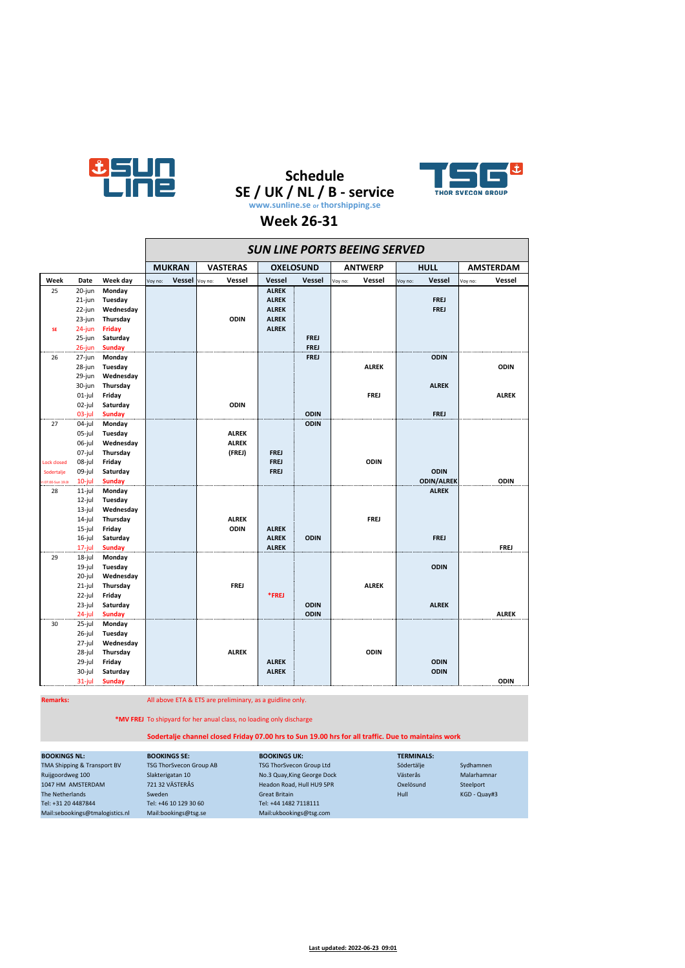

 $\blacksquare$ 

# **Schedule SE / UK / NL / B - service www.sunline.se or thorshipping.se**



 $\overline{\phantom{0}}$ 

### **Week 26-31**

|                    |                  |                    | <b>SUN LINE PORTS BEEING SERVED</b> |               |         |                 |                  |             |                |              |             |                   |                  |              |
|--------------------|------------------|--------------------|-------------------------------------|---------------|---------|-----------------|------------------|-------------|----------------|--------------|-------------|-------------------|------------------|--------------|
|                    |                  |                    |                                     | <b>MUKRAN</b> |         | <b>VASTERAS</b> | <b>OXELOSUND</b> |             | <b>ANTWERP</b> |              | <b>HULL</b> |                   | <b>AMSTERDAM</b> |              |
| Week               | Date             | Week day           | Voy no:                             | Vessel        | Voy no: | Vessel          | <b>Vessel</b>    | Vessel      | Voy no:        | Vessel       | Voy no:     | Vessel            | Voy no:          | Vessel       |
| 25                 | 20-jun           | Monday             |                                     |               |         |                 | <b>ALREK</b>     |             |                |              |             |                   |                  |              |
|                    | 21-jun           | Tuesday            |                                     |               |         |                 | <b>ALREK</b>     |             |                |              |             | <b>FREJ</b>       |                  |              |
|                    | 22-jun           | Wednesday          |                                     |               |         |                 | <b>ALREK</b>     |             |                |              |             | <b>FREJ</b>       |                  |              |
|                    | 23-jun           | Thursday           |                                     |               |         | <b>ODIN</b>     | <b>ALREK</b>     |             |                |              |             |                   |                  |              |
| SE                 | $24$ -jun        | <b>Friday</b>      |                                     |               |         |                 | <b>ALREK</b>     |             |                |              |             |                   |                  |              |
|                    | 25-jun           | Saturday           |                                     |               |         |                 |                  | <b>FREJ</b> |                |              |             |                   |                  |              |
|                    | $26$ -jun        | <b>Sunday</b>      |                                     |               |         |                 |                  | <b>FREJ</b> |                |              |             |                   |                  |              |
| 26                 | 27-jun           | Monday             |                                     |               |         |                 |                  | <b>FREJ</b> |                |              |             | <b>ODIN</b>       |                  |              |
|                    | 28-jun           | Tuesday            |                                     |               |         |                 |                  |             |                | <b>ALREK</b> |             |                   |                  | <b>ODIN</b>  |
|                    | 29-jun           | Wednesday          |                                     |               |         |                 |                  |             |                |              |             |                   |                  |              |
|                    | 30-jun           | Thursday           |                                     |               |         |                 |                  |             |                |              |             | <b>ALREK</b>      |                  |              |
|                    | $01$ -jul        | Friday             |                                     |               |         |                 |                  |             |                | <b>FREJ</b>  |             |                   |                  | <b>ALREK</b> |
|                    | 02-jul           | Saturday           |                                     |               |         | <b>ODIN</b>     |                  |             |                |              |             |                   |                  |              |
|                    | 03-iul           | Sunday             |                                     |               |         |                 |                  | <b>ODIN</b> |                |              |             | <b>FREJ</b>       |                  |              |
| 27                 | 04-jul           | Monday             |                                     |               |         | <b>ALREK</b>    |                  | <b>ODIN</b> |                |              |             |                   |                  |              |
|                    | 05-jul           | Tuesday            |                                     |               |         | <b>ALREK</b>    |                  |             |                |              |             |                   |                  |              |
|                    | 06-jul<br>07-jul | Wednesday          |                                     |               |         | (FREJ)          | <b>FREJ</b>      |             |                |              |             |                   |                  |              |
| <b>Lock closed</b> | 08-jul           | Thursday<br>Friday |                                     |               |         |                 | <b>FREJ</b>      |             |                | <b>ODIN</b>  |             |                   |                  |              |
| Sodertalje         | 09-jul           | Saturday           |                                     |               |         |                 | <b>FREJ</b>      |             |                |              |             | <b>ODIN</b>       |                  |              |
| i 07.00-Sun 19.0   | $10$ -jul        | <b>Sunday</b>      |                                     |               |         |                 |                  |             |                |              |             | <b>ODIN/ALREK</b> |                  | <b>ODIN</b>  |
| 28                 | $11$ -jul        | Monday             |                                     |               |         |                 |                  |             |                |              |             | <b>ALREK</b>      |                  |              |
|                    | $12$ -jul        | Tuesday            |                                     |               |         |                 |                  |             |                |              |             |                   |                  |              |
|                    | $13$ -jul        | Wednesday          |                                     |               |         |                 |                  |             |                |              |             |                   |                  |              |
|                    | $14$ -jul        | Thursday           |                                     |               |         | <b>ALREK</b>    |                  |             |                | <b>FREJ</b>  |             |                   |                  |              |
|                    | $15$ -jul        | Friday             |                                     |               |         | <b>ODIN</b>     | <b>ALREK</b>     |             |                |              |             |                   |                  |              |
|                    | $16$ -jul        | Saturday           |                                     |               |         |                 | <b>ALREK</b>     | <b>ODIN</b> |                |              |             | <b>FREJ</b>       |                  |              |
|                    | $17$ -jul        | <b>Sunday</b>      |                                     |               |         |                 | <b>ALREK</b>     |             |                |              |             |                   |                  | <b>FREJ</b>  |
| 29                 | 18-jul           | Monday             |                                     |               |         |                 |                  |             |                |              |             |                   |                  |              |
|                    | 19-jul           | Tuesday            |                                     |               |         |                 |                  |             |                |              |             | <b>ODIN</b>       |                  |              |
|                    | 20-jul           | Wednesday          |                                     |               |         |                 |                  |             |                |              |             |                   |                  |              |
|                    | $21$ -jul        | Thursday           |                                     |               |         | <b>FREJ</b>     |                  |             |                | <b>ALREK</b> |             |                   |                  |              |
|                    | 22-jul           | Friday             |                                     |               |         |                 | *FREJ            |             |                |              |             |                   |                  |              |
|                    | 23-jul           | Saturday           |                                     |               |         |                 |                  | <b>ODIN</b> |                |              |             | <b>ALREK</b>      |                  |              |
|                    | 24-jul           | <b>Sunday</b>      |                                     |               |         |                 |                  | <b>ODIN</b> |                |              |             |                   |                  | <b>ALREK</b> |
| 30                 | 25-jul           | Monday             |                                     |               |         |                 |                  |             |                |              |             |                   |                  |              |
|                    | 26-jul           | Tuesday            |                                     |               |         |                 |                  |             |                |              |             |                   |                  |              |
|                    | 27-jul           | Wednesday          |                                     |               |         |                 |                  |             |                |              |             |                   |                  |              |
|                    | 28-jul           | Thursday           |                                     |               |         | <b>ALREK</b>    |                  |             |                | <b>ODIN</b>  |             |                   |                  |              |
|                    | 29-jul           | Friday             |                                     |               |         |                 | <b>ALREK</b>     |             |                |              |             | <b>ODIN</b>       |                  |              |
|                    | 30-jul           | Saturday           |                                     |               |         |                 | <b>ALREK</b>     |             |                |              |             | <b>ODIN</b>       |                  |              |
|                    | $31$ -jul        | <b>Sunday</b>      |                                     |               |         |                 |                  |             |                |              |             |                   |                  | <b>ODIN</b>  |

**Remarks:** All above ETA & ETS are preliminary, as a guidline only.

**\*MV FREJ** To shipyard for her anual class, no loading only discharge

#### **Sodertalje channel closed Friday 07.00 hrs to Sun 19.00 hrs for all traffic. Due to maintains work**

| <b>BOOKINGS NL:</b>             | <b>BOOKINGS SE:</b>            | <b>BOOKINGS UK:</b>         | <b>TERMINALS:</b> |              |
|---------------------------------|--------------------------------|-----------------------------|-------------------|--------------|
| TMA Shipping & Transport BV     | <b>TSG ThorSvecon Group AB</b> | TSG ThorSvecon Group Ltd    | Södertälie        | Sydhamnen    |
| Ruijgoordweg 100                | Slakterigatan 10               | No.3 Quay, King George Dock | Västerås          | Malarhamnar  |
| 1047 HM AMSTERDAM               | 721 32 VÄSTERÅS                | Headon Road, Hull HU9 5PR   | Oxelösund         | Steelport    |
| The Netherlands                 | Sweden                         | <b>Great Britain</b>        | Hull              | KGD - Quay#3 |
| Tel: +31 20 4487844             | Tel: +46 10 129 30 60          | Tel: +44 1482 7118111       |                   |              |
| Mail:sebookings@tmalogistics.nl | Mail:bookings@tsg.se           | Mail:ukbookings@tsg.com     |                   |              |